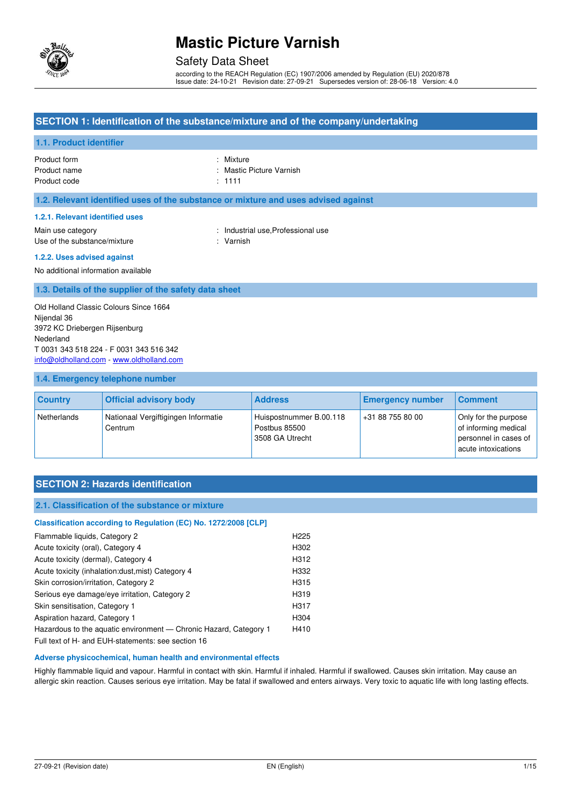

### Safety Data Sheet

according to the REACH Regulation (EC) 1907/2006 amended by Regulation (EU) 2020/878 Issue date: 24-10-21 Revision date: 27-09-21 Supersedes version of: 28-06-18 Version: 4.0

### **SECTION 1: Identification of the substance/mixture and of the company/undertaking**

### **1.1. Product identifier**

Product form : Nixture : Nixture Product name **in the set of the Contract Contract Contract Contract Contract Contract Contract Contract Contract Contract Contract Contract Contract Contract Contract Contract Contract Contract Contract Contract Contract C** Product code : 1111

#### **1.2. Relevant identified uses of the substance or mixture and uses advised against**

#### **1.2.1. Relevant identified uses**

Main use category **Example 20** and the United States of the Industrial use, Professional use Use of the substance/mixture in the substance in the set of the substance of the substance in the set of the substance in the set of the substance in the set of the set of the set of the set of the set of the set of the se

#### **1.2.2. Uses advised against**

No additional information available

### **1.3. Details of the supplier of the safety data sheet**

Old Holland Classic Colours Since 1664 Nijendal 36 3972 KC Driebergen Rijsenburg Nederland T 0031 343 518 224 - F 0031 343 516 342 [info@oldholland.com](mailto:info@oldholland.com) - [www.oldholland.com](http://www.oldholland.com/)

#### **1.4. Emergency telephone number**

| <b>Country</b> | <b>Official advisory body</b>                  | <b>Address</b>                                              | <b>Emergency number</b> | <b>Comment</b>                                                                               |
|----------------|------------------------------------------------|-------------------------------------------------------------|-------------------------|----------------------------------------------------------------------------------------------|
| Netherlands    | Nationaal Vergiftigingen Informatie<br>Centrum | Huispostnummer B.00.118<br>Postbus 85500<br>3508 GA Utrecht | +31 88 755 80 00        | Only for the purpose<br>of informing medical<br>personnel in cases of<br>acute intoxications |

## **SECTION 2: Hazards identification**

#### **2.1. Classification of the substance or mixture**

## **Classification according to Regulation (EC) No. 1272/2008 [CLP]**  Flammable liquids, Category 2 **H225** Acute toxicity (oral), Category 4 H302 Acute toxicity (dermal), Category 4 H312 Acute toxicity (inhalation:dust,mist) Category 4 H332 Skin corrosion/irritation, Category 2 H315 Serious eye damage/eye irritation, Category 2 H319 Skin sensitisation, Category 1 H317 Aspiration hazard, Category 1 H304 Hazardous to the aquatic environment - Chronic Hazard, Category 1 H410

Full text of H- and EUH-statements: see section 16

#### **Adverse physicochemical, human health and environmental effects**

Highly flammable liquid and vapour. Harmful in contact with skin. Harmful if inhaled. Harmful if swallowed. Causes skin irritation. May cause an allergic skin reaction. Causes serious eye irritation. May be fatal if swallowed and enters airways. Very toxic to aquatic life with long lasting effects.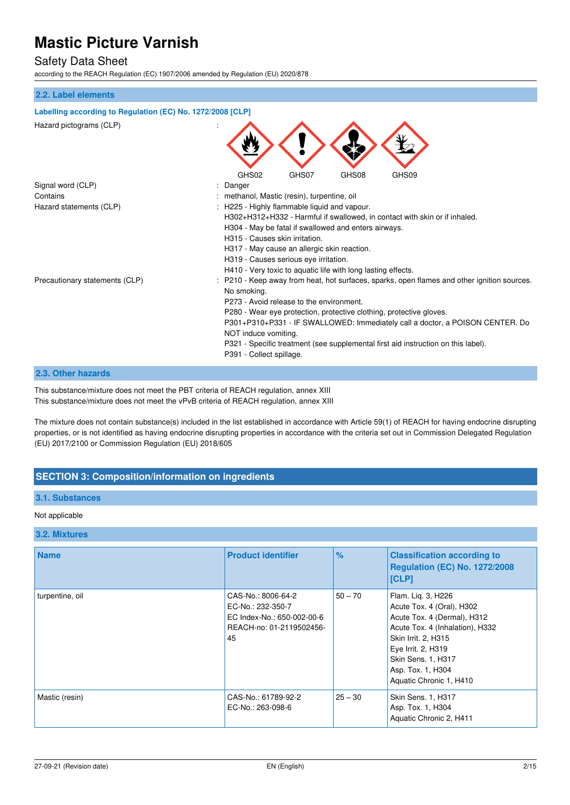## Safety Data Sheet

according to the REACH Regulation (EC) 1907/2006 amended by Regulation (EU) 2020/878

#### **2.2. Label elements**

| Labelling according to Regulation (EC) No. 1272/2008 [CLP] |                                                                                           |
|------------------------------------------------------------|-------------------------------------------------------------------------------------------|
| Hazard pictograms (CLP)                                    |                                                                                           |
|                                                            | GHS02<br>GHS08<br>GHS07<br>GHS09                                                          |
| Signal word (CLP)                                          | Danger                                                                                    |
| Contains                                                   | methanol, Mastic (resin), turpentine, oil                                                 |
| Hazard statements (CLP)                                    | H225 - Highly flammable liquid and vapour.                                                |
|                                                            | H302+H312+H332 - Harmful if swallowed, in contact with skin or if inhaled.                |
|                                                            | H304 - May be fatal if swallowed and enters airways.                                      |
|                                                            | H315 - Causes skin irritation.                                                            |
|                                                            | H317 - May cause an allergic skin reaction.                                               |
|                                                            | H319 - Causes serious eye irritation.                                                     |
|                                                            | H410 - Very toxic to aquatic life with long lasting effects.                              |
| Precautionary statements (CLP)                             | P210 - Keep away from heat, hot surfaces, sparks, open flames and other ignition sources. |
|                                                            | No smoking.                                                                               |
|                                                            | P273 - Avoid release to the environment.                                                  |
|                                                            | P280 - Wear eye protection, protective clothing, protective gloves.                       |
|                                                            | P301+P310+P331 - IF SWALLOWED: Immediately call a doctor, a POISON CENTER. Do             |
|                                                            | NOT induce vomiting.                                                                      |
|                                                            | P321 - Specific treatment (see supplemental first aid instruction on this label).         |
|                                                            | P391 - Collect spillage.                                                                  |
|                                                            |                                                                                           |

### **2.3. Other hazards**

This substance/mixture does not meet the PBT criteria of REACH regulation, annex XIII This substance/mixture does not meet the vPvB criteria of REACH regulation, annex XIII

The mixture does not contain substance(s) included in the list established in accordance with Article 59(1) of REACH for having endocrine disrupting properties, or is not identified as having endocrine disrupting properties in accordance with the criteria set out in Commission Delegated Regulation (EU) 2017/2100 or Commission Regulation (EU) 2018/605

## **SECTION 3: Composition/information on ingredients**

### **3.1. Substances**

#### Not applicable

#### **3.2. Mixtures**

| <b>Name</b>     | <b>Product identifier</b>                                                                               | %         | <b>Classification according to</b><br>Regulation (EC) No. 1272/2008<br>[CLP]                                                                                                                                                         |
|-----------------|---------------------------------------------------------------------------------------------------------|-----------|--------------------------------------------------------------------------------------------------------------------------------------------------------------------------------------------------------------------------------------|
| turpentine, oil | CAS-No.: 8006-64-2<br>EC-No.: 232-350-7<br>EC Index-No.: 650-002-00-6<br>REACH-no: 01-2119502456-<br>45 | $50 - 70$ | Flam. Lig. 3, H226<br>Acute Tox. 4 (Oral), H302<br>Acute Tox. 4 (Dermal), H312<br>Acute Tox. 4 (Inhalation), H332<br>Skin Irrit. 2, H315<br>Eye Irrit. 2, H319<br>Skin Sens. 1, H317<br>Asp. Tox. 1, H304<br>Aquatic Chronic 1, H410 |
| Mastic (resin)  | CAS-No.: 61789-92-2<br>EC-No.: 263-098-6                                                                | $25 - 30$ | Skin Sens. 1, H317<br>Asp. Tox. 1, H304<br>Aquatic Chronic 2, H411                                                                                                                                                                   |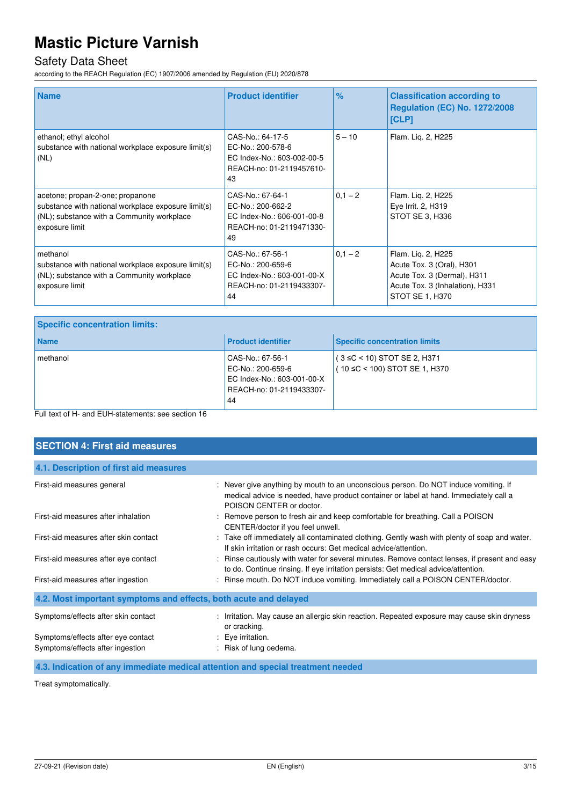# Safety Data Sheet

according to the REACH Regulation (EC) 1907/2006 amended by Regulation (EU) 2020/878

| <b>Name</b>                                                                                                                                             | <b>Product identifier</b>                                                                             | $\frac{9}{6}$ | <b>Classification according to</b><br><b>Regulation (EC) No. 1272/2008</b><br><b>[CLP]</b>                                           |
|---------------------------------------------------------------------------------------------------------------------------------------------------------|-------------------------------------------------------------------------------------------------------|---------------|--------------------------------------------------------------------------------------------------------------------------------------|
| ethanol; ethyl alcohol<br>substance with national workplace exposure limit(s)<br>(NL)                                                                   | CAS-No.: 64-17-5<br>EC-No.: 200-578-6<br>EC Index-No.: 603-002-00-5<br>REACH-no: 01-2119457610-<br>43 | $5 - 10$      | Flam. Lig. 2, H225                                                                                                                   |
| acetone; propan-2-one; propanone<br>substance with national workplace exposure limit(s)<br>(NL); substance with a Community workplace<br>exposure limit | CAS-No.: 67-64-1<br>EC-No.: 200-662-2<br>EC Index-No.: 606-001-00-8<br>REACH-no: 01-2119471330-<br>49 | $0,1 - 2$     | Flam. Lig. 2, H225<br>Eye Irrit. 2, H319<br>STOT SE 3, H336                                                                          |
| methanol<br>substance with national workplace exposure limit(s)<br>(NL); substance with a Community workplace<br>exposure limit                         | CAS-No.: 67-56-1<br>EC-No.: 200-659-6<br>EC Index-No.: 603-001-00-X<br>REACH-no: 01-2119433307-<br>44 | $0,1 - 2$     | Flam. Lig. 2, H225<br>Acute Tox. 3 (Oral), H301<br>Acute Tox. 3 (Dermal), H311<br>Acute Tox. 3 (Inhalation), H331<br>STOT SE 1, H370 |

| <b>Specific concentration limits:</b>                                                            |                                                                                                       |                                                                    |
|--------------------------------------------------------------------------------------------------|-------------------------------------------------------------------------------------------------------|--------------------------------------------------------------------|
| <b>Name</b>                                                                                      | <b>Product identifier</b>                                                                             | <b>Specific concentration limits</b>                               |
| methanol                                                                                         | CAS-No.: 67-56-1<br>EC-No.: 200-659-6<br>EC Index-No.: 603-001-00-X<br>REACH-no: 01-2119433307-<br>44 | $(3 \leq C < 10)$ STOT SE 2, H371<br>(10 ≤C < 100) STOT SE 1, H370 |
| $\Box$ . It is a set of the constant $\Box$ in the second constant of a set of $\Box$ and $\Box$ |                                                                                                       |                                                                    |

Full text of H- and EUH-statements: see section 16

| <b>SECTION 4: First aid measures</b>                                   |                                                                                                                                                                                                          |
|------------------------------------------------------------------------|----------------------------------------------------------------------------------------------------------------------------------------------------------------------------------------------------------|
| 4.1. Description of first aid measures                                 |                                                                                                                                                                                                          |
| First-aid measures general                                             | : Never give anything by mouth to an unconscious person. Do NOT induce vomiting. If<br>medical advice is needed, have product container or label at hand. Immediately call a<br>POISON CENTER or doctor. |
| First-aid measures after inhalation                                    | : Remove person to fresh air and keep comfortable for breathing. Call a POISON<br>CENTER/doctor if you feel unwell.                                                                                      |
| First-aid measures after skin contact                                  | : Take off immediately all contaminated clothing. Gently wash with plenty of soap and water.<br>If skin irritation or rash occurs: Get medical advice/attention.                                         |
| First-aid measures after eye contact                                   | : Rinse cautiously with water for several minutes. Remove contact lenses, if present and easy<br>to do. Continue rinsing. If eye irritation persists: Get medical advice/attention.                      |
| First-aid measures after ingestion                                     | : Rinse mouth. Do NOT induce vomiting. Immediately call a POISON CENTER/doctor.                                                                                                                          |
| 4.2. Most important symptoms and effects, both acute and delayed       |                                                                                                                                                                                                          |
| Symptoms/effects after skin contact                                    | : Irritation. May cause an allergic skin reaction. Repeated exposure may cause skin dryness<br>or cracking.                                                                                              |
| Symptoms/effects after eye contact<br>Symptoms/effects after ingestion | : Eye irritation.<br>: Risk of lung oedema.                                                                                                                                                              |

**4.3. Indication of any immediate medical attention and special treatment needed** 

Treat symptomatically.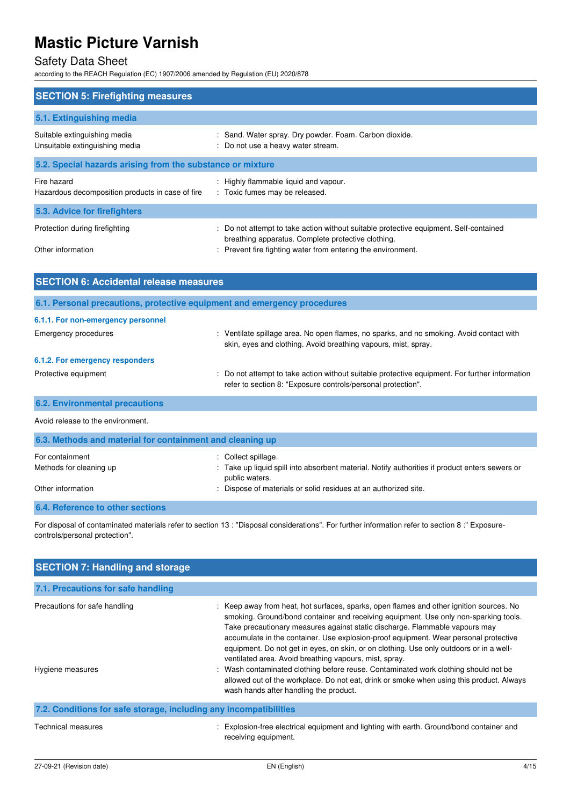# Safety Data Sheet

according to the REACH Regulation (EC) 1907/2006 amended by Regulation (EU) 2020/878

| <b>SECTION 5: Firefighting measures</b>                         |                                                                                                                                                                                                             |
|-----------------------------------------------------------------|-------------------------------------------------------------------------------------------------------------------------------------------------------------------------------------------------------------|
| 5.1. Extinguishing media                                        |                                                                                                                                                                                                             |
| Suitable extinguishing media<br>Unsuitable extinguishing media  | : Sand. Water spray. Dry powder. Foam. Carbon dioxide.<br>: Do not use a heavy water stream.                                                                                                                |
| 5.2. Special hazards arising from the substance or mixture      |                                                                                                                                                                                                             |
| Fire hazard<br>Hazardous decomposition products in case of fire | : Highly flammable liquid and vapour.<br>: Toxic fumes may be released.                                                                                                                                     |
| 5.3. Advice for firefighters                                    |                                                                                                                                                                                                             |
| Protection during firefighting<br>Other information             | : Do not attempt to take action without suitable protective equipment. Self-contained<br>breathing apparatus. Complete protective clothing.<br>: Prevent fire fighting water from entering the environment. |

| <b>SECTION 6: Accidental release measures</b>                            |                                                                                                                                                                |  |
|--------------------------------------------------------------------------|----------------------------------------------------------------------------------------------------------------------------------------------------------------|--|
| 6.1. Personal precautions, protective equipment and emergency procedures |                                                                                                                                                                |  |
| 6.1.1. For non-emergency personnel                                       |                                                                                                                                                                |  |
| <b>Emergency procedures</b>                                              | : Ventilate spillage area. No open flames, no sparks, and no smoking. Avoid contact with<br>skin, eyes and clothing. Avoid breathing vapours, mist, spray.     |  |
| 6.1.2. For emergency responders                                          |                                                                                                                                                                |  |
| Protective equipment                                                     | : Do not attempt to take action without suitable protective equipment. For further information<br>refer to section 8: "Exposure controls/personal protection". |  |
| <b>6.2. Environmental precautions</b>                                    |                                                                                                                                                                |  |
| Avoid release to the environment.                                        |                                                                                                                                                                |  |

| 6.3. Methods and material for containment and cleaning up |                                                                                                                  |  |
|-----------------------------------------------------------|------------------------------------------------------------------------------------------------------------------|--|
| For containment                                           | : Collect spillage.                                                                                              |  |
| Methods for cleaning up                                   | : Take up liquid spill into absorbent material. Notify authorities if product enters sewers or<br>public waters. |  |
| Other information                                         | : Dispose of materials or solid residues at an authorized site.                                                  |  |
| 6.4. Reference to other sections                          |                                                                                                                  |  |

For disposal of contaminated materials refer to section 13 : "Disposal considerations". For further information refer to section 8 :" Exposurecontrols/personal protection".

| <b>SECTION 7: Handling and storage</b>                            |                                                                                                                                                                                                                                                                                                                                                                                                                                                                                                                                                                                                                                                                                                                                          |
|-------------------------------------------------------------------|------------------------------------------------------------------------------------------------------------------------------------------------------------------------------------------------------------------------------------------------------------------------------------------------------------------------------------------------------------------------------------------------------------------------------------------------------------------------------------------------------------------------------------------------------------------------------------------------------------------------------------------------------------------------------------------------------------------------------------------|
| 7.1. Precautions for safe handling                                |                                                                                                                                                                                                                                                                                                                                                                                                                                                                                                                                                                                                                                                                                                                                          |
| Precautions for safe handling<br>Hygiene measures                 | : Keep away from heat, hot surfaces, sparks, open flames and other ignition sources. No<br>smoking. Ground/bond container and receiving equipment. Use only non-sparking tools.<br>Take precautionary measures against static discharge. Flammable vapours may<br>accumulate in the container. Use explosion-proof equipment. Wear personal protective<br>equipment. Do not get in eyes, on skin, or on clothing. Use only outdoors or in a well-<br>ventilated area. Avoid breathing vapours, mist, spray.<br>: Wash contaminated clothing before reuse. Contaminated work clothing should not be<br>allowed out of the workplace. Do not eat, drink or smoke when using this product. Always<br>wash hands after handling the product. |
| 7.2. Conditions for safe storage, including any incompatibilities |                                                                                                                                                                                                                                                                                                                                                                                                                                                                                                                                                                                                                                                                                                                                          |
| <b>Technical measures</b>                                         | : Explosion-free electrical equipment and lighting with earth. Ground/bond container and<br>receiving equipment.                                                                                                                                                                                                                                                                                                                                                                                                                                                                                                                                                                                                                         |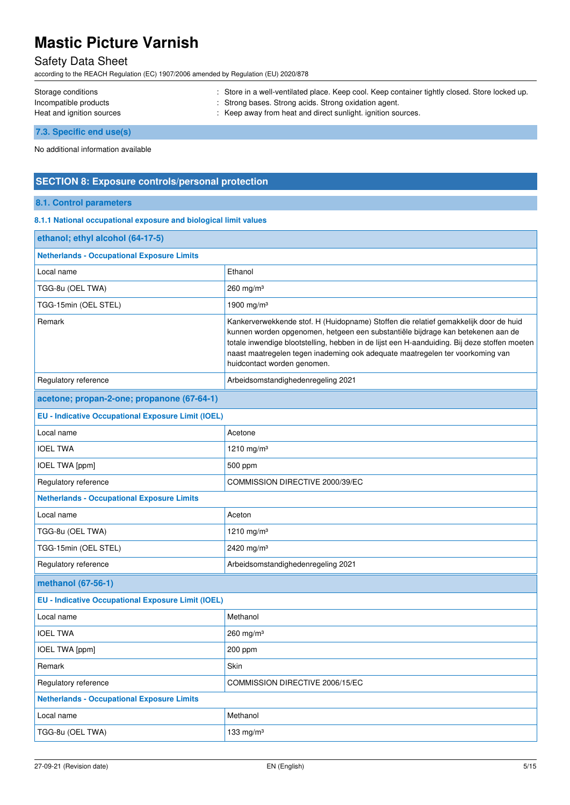# Safety Data Sheet

according to the REACH Regulation (EC) 1907/2006 amended by Regulation (EU) 2020/878

| Storage conditions        | : Store in a well-ventilated place. Keep cool. Keep container tightly closed. Store locked up. |
|---------------------------|------------------------------------------------------------------------------------------------|
| Incompatible products     | : Strong bases. Strong acids. Strong oxidation agent.                                          |
| Heat and ignition sources | : Keep away from heat and direct sunlight, ignition sources.                                   |
| 7.3. Specific end use(s)  |                                                                                                |

No additional information available

### **SECTION 8: Exposure controls/personal protection**

### **8.1. Control parameters**

#### **8.1.1 National occupational exposure and biological limit values**

| ethanol; ethyl alcohol (64-17-5)                          |                                                                                                                                                                                                                                                                                                                                                                                         |  |
|-----------------------------------------------------------|-----------------------------------------------------------------------------------------------------------------------------------------------------------------------------------------------------------------------------------------------------------------------------------------------------------------------------------------------------------------------------------------|--|
| <b>Netherlands - Occupational Exposure Limits</b>         |                                                                                                                                                                                                                                                                                                                                                                                         |  |
| Local name                                                | Ethanol                                                                                                                                                                                                                                                                                                                                                                                 |  |
| TGG-8u (OEL TWA)                                          | 260 mg/m $3$                                                                                                                                                                                                                                                                                                                                                                            |  |
| TGG-15min (OEL STEL)                                      | 1900 mg/m <sup>3</sup>                                                                                                                                                                                                                                                                                                                                                                  |  |
| Remark                                                    | Kankerverwekkende stof. H (Huidopname) Stoffen die relatief gemakkelijk door de huid<br>kunnen worden opgenomen, hetgeen een substantiële bijdrage kan betekenen aan de<br>totale inwendige blootstelling, hebben in de lijst een H-aanduiding. Bij deze stoffen moeten<br>naast maatregelen tegen inademing ook adequate maatregelen ter voorkoming van<br>huidcontact worden genomen. |  |
| Regulatory reference                                      | Arbeidsomstandighedenregeling 2021                                                                                                                                                                                                                                                                                                                                                      |  |
| acetone; propan-2-one; propanone (67-64-1)                |                                                                                                                                                                                                                                                                                                                                                                                         |  |
| <b>EU - Indicative Occupational Exposure Limit (IOEL)</b> |                                                                                                                                                                                                                                                                                                                                                                                         |  |
| Local name                                                | Acetone                                                                                                                                                                                                                                                                                                                                                                                 |  |
| <b>IOEL TWA</b>                                           | 1210 mg/m <sup>3</sup>                                                                                                                                                                                                                                                                                                                                                                  |  |
| <b>IOEL TWA [ppm]</b>                                     | 500 ppm                                                                                                                                                                                                                                                                                                                                                                                 |  |
| Regulatory reference                                      | COMMISSION DIRECTIVE 2000/39/EC                                                                                                                                                                                                                                                                                                                                                         |  |
| <b>Netherlands - Occupational Exposure Limits</b>         |                                                                                                                                                                                                                                                                                                                                                                                         |  |
| Local name                                                | Aceton                                                                                                                                                                                                                                                                                                                                                                                  |  |
| TGG-8u (OEL TWA)                                          | 1210 mg/m <sup>3</sup>                                                                                                                                                                                                                                                                                                                                                                  |  |
| TGG-15min (OEL STEL)                                      | 2420 mg/m <sup>3</sup>                                                                                                                                                                                                                                                                                                                                                                  |  |
| Regulatory reference                                      | Arbeidsomstandighedenregeling 2021                                                                                                                                                                                                                                                                                                                                                      |  |
| methanol (67-56-1)                                        |                                                                                                                                                                                                                                                                                                                                                                                         |  |
| <b>EU - Indicative Occupational Exposure Limit (IOEL)</b> |                                                                                                                                                                                                                                                                                                                                                                                         |  |
| Local name                                                | Methanol                                                                                                                                                                                                                                                                                                                                                                                |  |
| <b>IOEL TWA</b>                                           | 260 mg/m <sup>3</sup>                                                                                                                                                                                                                                                                                                                                                                   |  |
| IOEL TWA [ppm]                                            | 200 ppm                                                                                                                                                                                                                                                                                                                                                                                 |  |
| Remark                                                    | Skin                                                                                                                                                                                                                                                                                                                                                                                    |  |
| Regulatory reference                                      | COMMISSION DIRECTIVE 2006/15/EC                                                                                                                                                                                                                                                                                                                                                         |  |
| <b>Netherlands - Occupational Exposure Limits</b>         |                                                                                                                                                                                                                                                                                                                                                                                         |  |
| Local name                                                | Methanol                                                                                                                                                                                                                                                                                                                                                                                |  |
| TGG-8u (OEL TWA)                                          | 133 mg/m $3$                                                                                                                                                                                                                                                                                                                                                                            |  |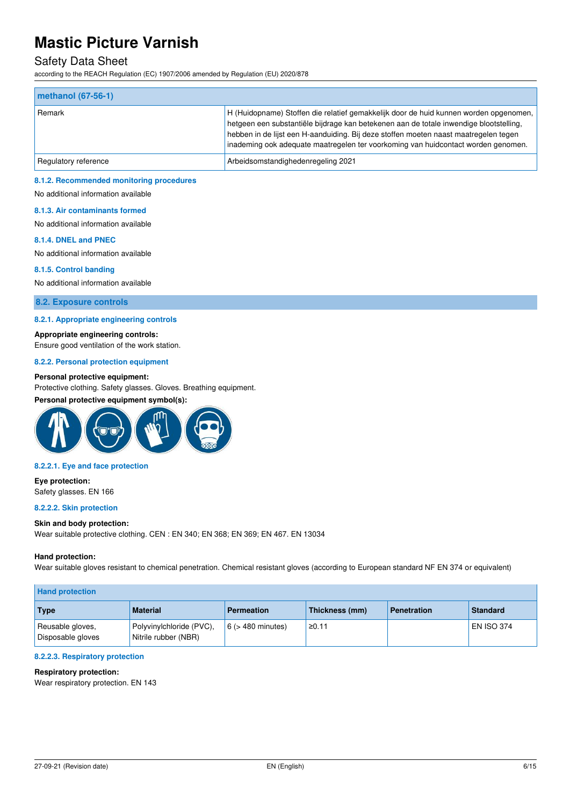## Safety Data Sheet

according to the REACH Regulation (EC) 1907/2006 amended by Regulation (EU) 2020/878

| $ $ methanol $(67-56-1)$ |                                                                                                                                                                                                                                                                                                                                                              |
|--------------------------|--------------------------------------------------------------------------------------------------------------------------------------------------------------------------------------------------------------------------------------------------------------------------------------------------------------------------------------------------------------|
| Remark                   | H (Huidopname) Stoffen die relatief gemakkelijk door de huid kunnen worden opgenomen,<br>hetgeen een substantiële bijdrage kan betekenen aan de totale inwendige blootstelling,<br>hebben in de lijst een H-aanduiding. Bij deze stoffen moeten naast maatregelen tegen<br>inademing ook adequate maatregelen ter voorkoming van huidcontact worden genomen. |
| Regulatory reference     | Arbeidsomstandighedenregeling 2021                                                                                                                                                                                                                                                                                                                           |

#### **8.1.2. Recommended monitoring procedures**

No additional information available

#### **8.1.3. Air contaminants formed**

No additional information available

#### **8.1.4. DNEL and PNEC**

No additional information available

#### **8.1.5. Control banding**

No additional information available

#### **8.2. Exposure controls**

#### **8.2.1. Appropriate engineering controls**

**Appropriate engineering controls:** 

Ensure good ventilation of the work station.

#### **8.2.2. Personal protection equipment**

#### **Personal protective equipment:**

Protective clothing. Safety glasses. Gloves. Breathing equipment.

### **Personal protective equipment symbol(s):**



#### **8.2.2.1. Eye and face protection**

**Eye protection:**  Safety glasses. EN 166

#### **8.2.2.2. Skin protection**

#### **Skin and body protection:**

Wear suitable protective clothing. CEN : EN 340; EN 368; EN 369; EN 467. EN 13034

#### **Hand protection:**

Wear suitable gloves resistant to chemical penetration. Chemical resistant gloves (according to European standard NF EN 374 or equivalent)

| <b>Hand protection</b>                |                                                  |                        |                |                    |                   |
|---------------------------------------|--------------------------------------------------|------------------------|----------------|--------------------|-------------------|
| Type                                  | <b>Material</b>                                  | <b>Permeation</b>      | Thickness (mm) | <b>Penetration</b> | <b>Standard</b>   |
| Reusable gloves,<br>Disposable gloves | Polyvinylchloride (PVC),<br>Nitrile rubber (NBR) | $6$ ( $>$ 480 minutes) | ≥0.11          |                    | <b>EN ISO 374</b> |

#### **8.2.2.3. Respiratory protection**

#### **Respiratory protection:**

Wear respiratory protection. EN 143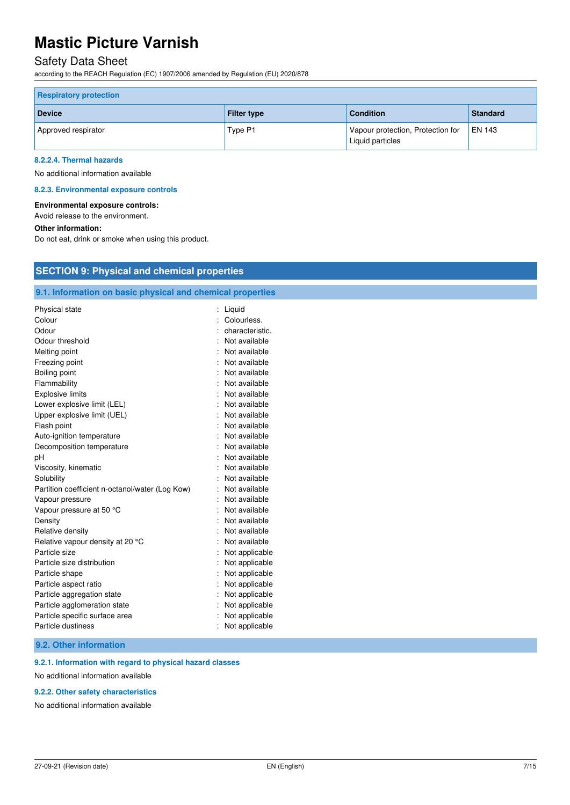# Safety Data Sheet

according to the REACH Regulation (EC) 1907/2006 amended by Regulation (EU) 2020/878

| <b>Respiratory protection</b> |                    |                                                       |                 |
|-------------------------------|--------------------|-------------------------------------------------------|-----------------|
| <b>Device</b>                 | <b>Filter type</b> | <b>Condition</b>                                      | <b>Standard</b> |
| Approved respirator           | Type P1            | Vapour protection, Protection for<br>Liquid particles | <b>EN 143</b>   |

#### **8.2.2.4. Thermal hazards**

No additional information available

#### **8.2.3. Environmental exposure controls**

#### **Environmental exposure controls:**

Avoid release to the environment.

#### **Other information:**

Do not eat, drink or smoke when using this product.

## **SECTION 9: Physical and chemical properties**

### **9.1. Information on basic physical and chemical properties**

| Physical state                                  | Liquid          |
|-------------------------------------------------|-----------------|
| Colour                                          | Colourless.     |
| Odour                                           | characteristic. |
| Odour threshold                                 | Not available   |
| Melting point                                   | Not available   |
| Freezing point                                  | Not available   |
| Boiling point                                   | Not available   |
| Flammability                                    | Not available   |
| <b>Explosive limits</b>                         | Not available   |
| Lower explosive limit (LEL)                     | Not available   |
| Upper explosive limit (UEL)                     | Not available   |
| Flash point                                     | Not available   |
| Auto-ignition temperature                       | Not available   |
| Decomposition temperature                       | Not available   |
| рH                                              | Not available   |
| Viscosity, kinematic                            | Not available   |
| Solubility                                      | Not available   |
| Partition coefficient n-octanol/water (Log Kow) | Not available   |
| Vapour pressure                                 | Not available   |
| Vapour pressure at 50 °C                        | Not available   |
| Density                                         | Not available   |
| Relative density                                | Not available   |
| Relative vapour density at 20 °C                | Not available   |
| Particle size                                   | Not applicable  |
| Particle size distribution                      | Not applicable  |
| Particle shape                                  | Not applicable  |
| Particle aspect ratio                           | Not applicable  |
| Particle aggregation state                      | Not applicable  |
| Particle agglomeration state                    | Not applicable  |
| Particle specific surface area                  | Not applicable  |
| Particle dustiness                              | Not applicable  |

#### **9.2. Other information**

#### **9.2.1. Information with regard to physical hazard classes**

No additional information available

#### **9.2.2. Other safety characteristics**

No additional information available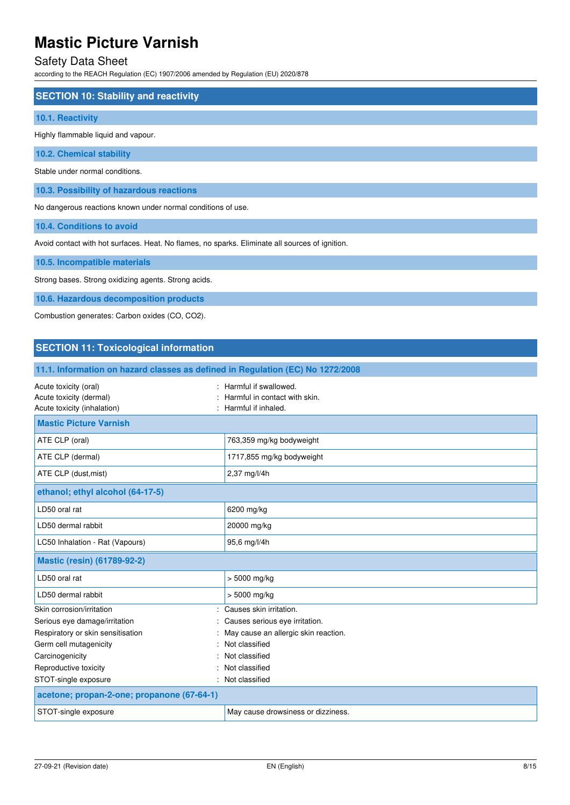# Safety Data Sheet

according to the REACH Regulation (EC) 1907/2006 amended by Regulation (EU) 2020/878

| <b>SECTION 10: Stability and reactivity</b> |  |
|---------------------------------------------|--|
| 10.1. Reactivity                            |  |
| Highly flammable liquid and vapour.         |  |
| <b>10.2. Chemical stability</b>             |  |
| Stable under normal conditions.             |  |
|                                             |  |

**10.3. Possibility of hazardous reactions**  No dangerous reactions known under normal conditions of use.

**10.4. Conditions to avoid** 

Avoid contact with hot surfaces. Heat. No flames, no sparks. Eliminate all sources of ignition.

**10.5. Incompatible materials** 

Strong bases. Strong oxidizing agents. Strong acids.

**10.6. Hazardous decomposition products** 

Combustion generates: Carbon oxides (CO, CO2).

### **SECTION 11: Toxicological information**

| 11.1. Information on hazard classes as defined in Regulation (EC) No 1272/2008  |                                                                                 |
|---------------------------------------------------------------------------------|---------------------------------------------------------------------------------|
| Acute toxicity (oral)<br>Acute toxicity (dermal)<br>Acute toxicity (inhalation) | : Harmful if swallowed.<br>Harmful in contact with skin.<br>Harmful if inhaled. |
| <b>Mastic Picture Varnish</b>                                                   |                                                                                 |
| ATE CLP (oral)                                                                  | 763,359 mg/kg bodyweight                                                        |
| ATE CLP (dermal)                                                                | 1717,855 mg/kg bodyweight                                                       |
| ATE CLP (dust, mist)                                                            | 2,37 mg/l/4h                                                                    |
| ethanol; ethyl alcohol (64-17-5)                                                |                                                                                 |
| LD50 oral rat                                                                   | 6200 mg/kg                                                                      |
| LD50 dermal rabbit                                                              | 20000 mg/kg                                                                     |
| LC50 Inhalation - Rat (Vapours)                                                 | 95,6 mg/l/4h                                                                    |
| <b>Mastic (resin) (61789-92-2)</b>                                              |                                                                                 |
| LD50 oral rat                                                                   | $> 5000$ mg/kg                                                                  |
| LD50 dermal rabbit                                                              | $> 5000$ mg/kg                                                                  |
| Skin corrosion/irritation                                                       | Causes skin irritation.                                                         |
| Serious eye damage/irritation                                                   | Causes serious eye irritation.                                                  |
| Respiratory or skin sensitisation                                               | May cause an allergic skin reaction.                                            |
| Germ cell mutagenicity                                                          | Not classified                                                                  |
| Carcinogenicity                                                                 | Not classified                                                                  |
| Reproductive toxicity                                                           | Not classified                                                                  |
| STOT-single exposure<br>۰.                                                      | Not classified                                                                  |
| acetone; propan-2-one; propanone (67-64-1)                                      |                                                                                 |
| STOT-single exposure                                                            | May cause drowsiness or dizziness.                                              |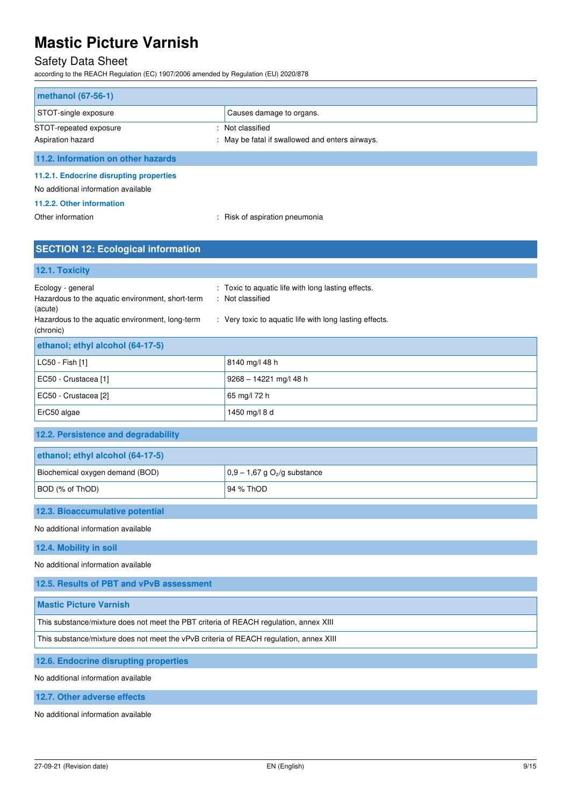# Safety Data Sheet

according to the REACH Regulation (EC) 1907/2006 amended by Regulation (EU) 2020/878

| methanol (67-56-1)                      |                                                 |
|-----------------------------------------|-------------------------------------------------|
| STOT-single exposure                    | Causes damage to organs.                        |
| STOT-repeated exposure                  | : Not classified                                |
| Aspiration hazard                       | : May be fatal if swallowed and enters airways. |
| 11.2. Information on other hazards      |                                                 |
| 11.2.1. Endocrine disrupting properties |                                                 |
| No additional information available     |                                                 |

### **11.2.2. Other information**

Other information  $\qquad \qquad : R$ isk of aspiration pneumonia

# **SECTION 12: Ecological information**

### **12.1. Toxicity**

| Ecology - general<br>Hazardous to the aquatic environment, short-term<br>(acute)<br>Hazardous to the aquatic environment, long-term<br>(chronic) | : Toxic to aquatic life with long lasting effects.<br>: Not classified<br>: Very toxic to aquatic life with long lasting effects. |
|--------------------------------------------------------------------------------------------------------------------------------------------------|-----------------------------------------------------------------------------------------------------------------------------------|
| ethanol; ethyl alcohol (64-17-5)                                                                                                                 |                                                                                                                                   |
| LC50 - Fish [1]                                                                                                                                  | 8140 mg/l 48 h                                                                                                                    |
| EC50 - Crustacea [1]                                                                                                                             | $9268 - 14221$ mg/l 48 h                                                                                                          |
| EC50 - Crustacea [2]                                                                                                                             | 65 mg/l 72 h                                                                                                                      |
| ErC50 algae                                                                                                                                      | 1450 mg/l 8 d                                                                                                                     |

### **12.2. Persistence and degradability**

| ethanol; ethyl alcohol (64-17-5) |                                            |
|----------------------------------|--------------------------------------------|
| Biochemical oxygen demand (BOD)  | $0.9 - 1.67$ g O <sub>2</sub> /g substance |
| BOD (% of ThOD)                  | 94 % ThOD                                  |

## **12.3. Bioaccumulative potential**

#### No additional information available

**12.4. Mobility in soil** 

### No additional information available

**12.5. Results of PBT and vPvB assessment Mastic Picture Varnish**  This substance/mixture does not meet the PBT criteria of REACH regulation, annex XIII This substance/mixture does not meet the vPvB criteria of REACH regulation, annex XIII **12.6. Endocrine disrupting properties** 

No additional information available

**12.7. Other adverse effects** 

No additional information available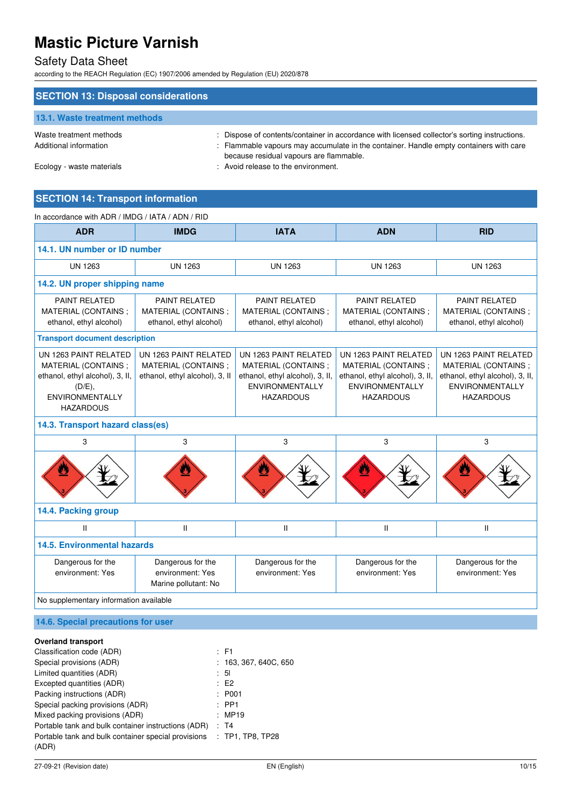# Safety Data Sheet

according to the REACH Regulation (EC) 1907/2006 amended by Regulation (EU) 2020/878

| <b>SECTION 13: Disposal considerations</b>        |                                                                                                                                                                                                                                    |
|---------------------------------------------------|------------------------------------------------------------------------------------------------------------------------------------------------------------------------------------------------------------------------------------|
| 13.1. Waste treatment methods                     |                                                                                                                                                                                                                                    |
| Waste treatment methods<br>Additional information | : Dispose of contents/container in accordance with licensed collector's sorting instructions.<br>: Flammable vapours may accumulate in the container. Handle empty containers with care<br>because residual vapours are flammable. |
| Ecology - waste materials                         | : Avoid release to the environment.                                                                                                                                                                                                |

# **SECTION 14: Transport information**

| In accordance with ADR / IMDG / IATA / ADN / RID                                                                                         |                                                                                |                                                                                                                               |                                                                                                                                |                                                                                                                               |
|------------------------------------------------------------------------------------------------------------------------------------------|--------------------------------------------------------------------------------|-------------------------------------------------------------------------------------------------------------------------------|--------------------------------------------------------------------------------------------------------------------------------|-------------------------------------------------------------------------------------------------------------------------------|
| <b>ADR</b>                                                                                                                               | <b>IMDG</b>                                                                    | <b>IATA</b>                                                                                                                   | <b>ADN</b>                                                                                                                     | <b>RID</b>                                                                                                                    |
| 14.1. UN number or ID number                                                                                                             |                                                                                |                                                                                                                               |                                                                                                                                |                                                                                                                               |
| <b>UN 1263</b>                                                                                                                           | <b>UN 1263</b>                                                                 | <b>UN 1263</b>                                                                                                                | <b>UN 1263</b>                                                                                                                 | UN 1263                                                                                                                       |
| 14.2. UN proper shipping name                                                                                                            |                                                                                |                                                                                                                               |                                                                                                                                |                                                                                                                               |
| <b>PAINT RELATED</b><br>MATERIAL (CONTAINS;<br>ethanol, ethyl alcohol)                                                                   | <b>PAINT RELATED</b><br>MATERIAL (CONTAINS;<br>ethanol, ethyl alcohol)         | <b>PAINT RELATED</b><br>MATERIAL (CONTAINS;<br>ethanol, ethyl alcohol)                                                        | <b>PAINT RELATED</b><br>MATERIAL (CONTAINS;<br>ethanol, ethyl alcohol)                                                         | <b>PAINT RELATED</b><br>MATERIAL (CONTAINS;<br>ethanol, ethyl alcohol)                                                        |
| <b>Transport document description</b>                                                                                                    |                                                                                |                                                                                                                               |                                                                                                                                |                                                                                                                               |
| UN 1263 PAINT RELATED<br>MATERIAL (CONTAINS ;<br>ethanol, ethyl alcohol), 3, II,<br>(D/E),<br><b>ENVIRONMENTALLY</b><br><b>HAZARDOUS</b> | UN 1263 PAINT RELATED<br>MATERIAL (CONTAINS;<br>ethanol, ethyl alcohol), 3, II | UN 1263 PAINT RELATED<br>MATERIAL (CONTAINS:<br>ethanol, ethyl alcohol), 3, II,<br><b>ENVIRONMENTALLY</b><br><b>HAZARDOUS</b> | UN 1263 PAINT RELATED<br>MATERIAL (CONTAINS ;<br>ethanol, ethyl alcohol), 3, II,<br><b>ENVIRONMENTALLY</b><br><b>HAZARDOUS</b> | UN 1263 PAINT RELATED<br>MATERIAL (CONTAINS;<br>ethanol, ethyl alcohol), 3, II,<br><b>ENVIRONMENTALLY</b><br><b>HAZARDOUS</b> |
| 14.3. Transport hazard class(es)                                                                                                         |                                                                                |                                                                                                                               |                                                                                                                                |                                                                                                                               |
| 3                                                                                                                                        | 3                                                                              | 3                                                                                                                             | 3                                                                                                                              | 3                                                                                                                             |
|                                                                                                                                          |                                                                                |                                                                                                                               |                                                                                                                                |                                                                                                                               |
| 14.4. Packing group                                                                                                                      |                                                                                |                                                                                                                               |                                                                                                                                |                                                                                                                               |
| $\mathbf{H}$                                                                                                                             | $\mathbf{H}$                                                                   | $\mathbf{II}$                                                                                                                 | $\mathbf{H}$                                                                                                                   | $\mathbf{II}$                                                                                                                 |
| <b>14.5. Environmental hazards</b>                                                                                                       |                                                                                |                                                                                                                               |                                                                                                                                |                                                                                                                               |
| Dangerous for the<br>environment: Yes                                                                                                    | Dangerous for the<br>environment: Yes<br>Marine pollutant: No                  | Dangerous for the<br>environment: Yes                                                                                         | Dangerous for the<br>environment: Yes                                                                                          | Dangerous for the<br>environment: Yes                                                                                         |
| No supplementary information available                                                                                                   |                                                                                |                                                                                                                               |                                                                                                                                |                                                                                                                               |
| 14.6. Special precautions for user                                                                                                       |                                                                                |                                                                                                                               |                                                                                                                                |                                                                                                                               |

|  | <b>Overland transport</b> |
|--|---------------------------|
|--|---------------------------|

| .                                                   |                       |
|-----------------------------------------------------|-----------------------|
| Classification code (ADR)                           | : F1                  |
| Special provisions (ADR)                            | : 163, 367, 640C, 650 |
| Limited quantities (ADR)                            | $\therefore$ 51       |
| Excepted quantities (ADR)                           | E2                    |
| Packing instructions (ADR)                          | : P <sub>001</sub>    |
| Special packing provisions (ADR)                    | $:$ PP1               |
| Mixed packing provisions (ADR)                      | : MP19                |
| Portable tank and bulk container instructions (ADR) | : T4                  |
| Portable tank and bulk container special provisions | $:$ TP1, TP8, TP28    |
| (ADR)                                               |                       |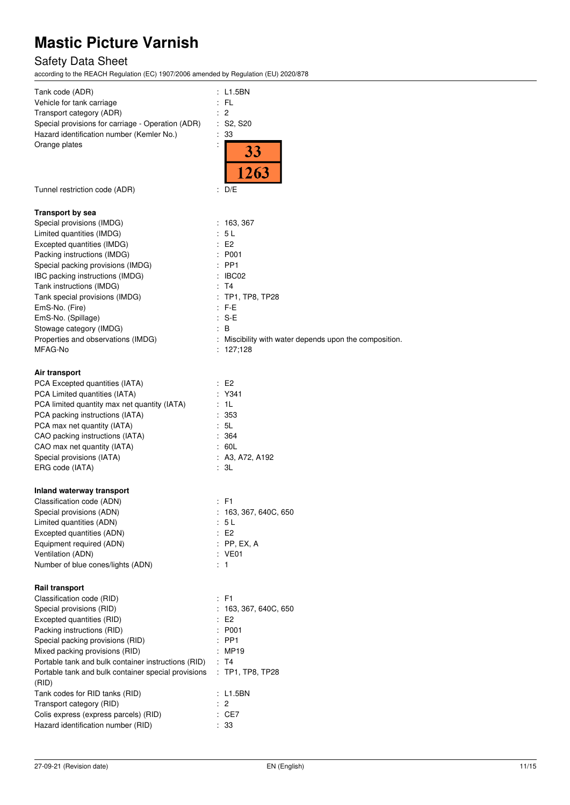# Safety Data Sheet

according to the REACH Regulation (EC) 1907/2006 amended by Regulation (EU) 2020/878

| Tank code (ADR)                                              | : L1.5BN                                                          |
|--------------------------------------------------------------|-------------------------------------------------------------------|
| Vehicle for tank carriage                                    | FL                                                                |
| Transport category (ADR)                                     | $\overline{c}$                                                    |
| Special provisions for carriage - Operation (ADR)            | : S2, S20                                                         |
| Hazard identification number (Kemler No.)                    | 33                                                                |
| Orange plates                                                |                                                                   |
|                                                              | 33<br>1263                                                        |
| Tunnel restriction code (ADR)                                | : $D/E$                                                           |
|                                                              |                                                                   |
| <b>Transport by sea</b>                                      |                                                                   |
| Special provisions (IMDG)                                    | : 163,367                                                         |
| Limited quantities (IMDG)                                    | 5L                                                                |
| Excepted quantities (IMDG)                                   | E2                                                                |
| Packing instructions (IMDG)                                  | P001                                                              |
| Special packing provisions (IMDG)                            | : PP1                                                             |
| IBC packing instructions (IMDG)                              | IBC02                                                             |
| Tank instructions (IMDG)                                     | T4                                                                |
| Tank special provisions (IMDG)                               | TP1, TP8, TP28                                                    |
| EmS-No. (Fire)                                               | : F-E                                                             |
| EmS-No. (Spillage)                                           | $: S-E$                                                           |
| Stowage category (IMDG)                                      | B                                                                 |
| Properties and observations (IMDG)                           | Miscibility with water depends upon the composition.<br>: 127,128 |
| MFAG-No                                                      |                                                                   |
| Air transport                                                |                                                                   |
| PCA Excepted quantities (IATA)                               | : E2                                                              |
| PCA Limited quantities (IATA)                                | Y341                                                              |
| PCA limited quantity max net quantity (IATA)                 | - 1 L                                                             |
| PCA packing instructions (IATA)                              | 353                                                               |
| PCA max net quantity (IATA)                                  | : 5L                                                              |
| CAO packing instructions (IATA)                              | 364                                                               |
| CAO max net quantity (IATA)                                  | 60L                                                               |
| Special provisions (IATA)                                    | A3, A72, A192                                                     |
| ERG code (IATA)                                              | : 3L                                                              |
| Inland waterway transport                                    |                                                                   |
| Classification code (ADN)                                    | : F1                                                              |
| Special provisions (ADN)                                     | : 163, 367, 640C, 650                                             |
| Limited quantities (ADN)                                     | 5 L                                                               |
| Excepted quantities (ADN)                                    | E <sub>2</sub>                                                    |
| Equipment required (ADN)                                     | PP, EX, A                                                         |
| Ventilation (ADN)                                            | : VE01                                                            |
| Number of blue cones/lights (ADN)                            | : 1                                                               |
| <b>Rail transport</b>                                        |                                                                   |
| Classification code (RID)                                    | $E$ F1                                                            |
| Special provisions (RID)                                     | 163, 367, 640C, 650                                               |
| Excepted quantities (RID)                                    | E <sub>2</sub>                                                    |
| Packing instructions (RID)                                   | P001                                                              |
| Special packing provisions (RID)                             | PP <sub>1</sub>                                                   |
| Mixed packing provisions (RID)                               | MP19                                                              |
| Portable tank and bulk container instructions (RID)          | : T4                                                              |
| Portable tank and bulk container special provisions<br>(RID) | : TP1, TP8, TP28                                                  |
| Tank codes for RID tanks (RID)                               | L1.5BN                                                            |
| Transport category (RID)                                     | : 2                                                               |
| Colis express (express parcels) (RID)                        | : CE7                                                             |
| Hazard identification number (RID)                           | : 33                                                              |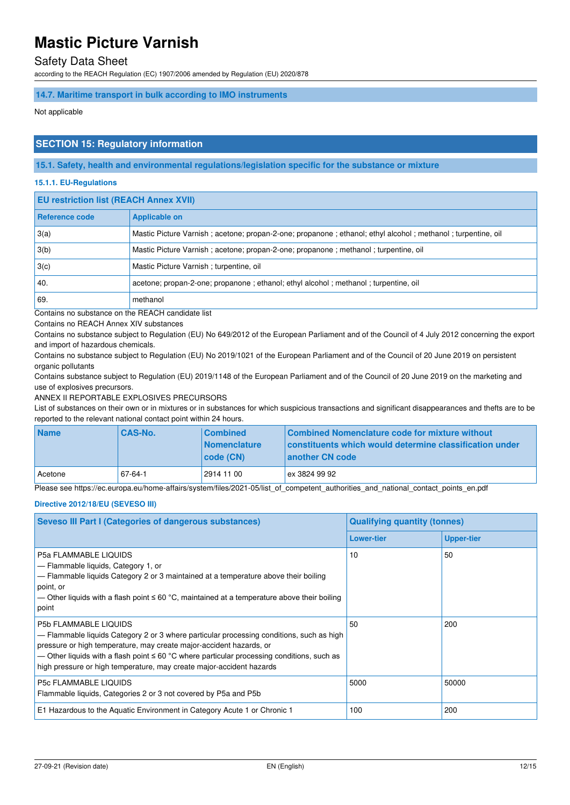## Safety Data Sheet

according to the REACH Regulation (EC) 1907/2006 amended by Regulation (EU) 2020/878

#### **14.7. Maritime transport in bulk according to IMO instruments**

Not applicable

### **SECTION 15: Regulatory information**

**15.1. Safety, health and environmental regulations/legislation specific for the substance or mixture** 

#### **15.1.1. EU-Regulations**

| <b>EU restriction list (REACH Annex XVII)</b> |                                                                                                             |  |
|-----------------------------------------------|-------------------------------------------------------------------------------------------------------------|--|
| Reference code                                | <b>Applicable on</b>                                                                                        |  |
| 3(a)                                          | Mastic Picture Varnish; acetone; propan-2-one; propanone; ethanol; ethyl alcohol; methanol; turpentine, oil |  |
| 3(b)                                          | Mastic Picture Varnish; acetone; propan-2-one; propanone; methanol; turpentine, oil                         |  |
| 3(c)                                          | Mastic Picture Varnish; turpentine, oil                                                                     |  |
| 40.                                           | acetone; propan-2-one; propanone; ethanol; ethyl alcohol; methanol; turpentine, oil                         |  |
| 69.                                           | methanol                                                                                                    |  |

Contains no substance on the REACH candidate list

Contains no REACH Annex XIV substances

Contains no substance subject to Regulation (EU) No 649/2012 of the European Parliament and of the Council of 4 July 2012 concerning the export and import of hazardous chemicals.

Contains no substance subject to Regulation (EU) No 2019/1021 of the European Parliament and of the Council of 20 June 2019 on persistent organic pollutants

Contains substance subject to Regulation (EU) 2019/1148 of the European Parliament and of the Council of 20 June 2019 on the marketing and use of explosives precursors.

ANNEX II REPORTABLE EXPLOSIVES PRECURSORS

List of substances on their own or in mixtures or in substances for which suspicious transactions and significant disappearances and thefts are to be reported to the relevant national contact point within 24 hours.

| <b>Name</b> | <b>CAS-No.</b> | <b>Combined</b>                    | Combined Nomenclature code for mixture without                                    |
|-------------|----------------|------------------------------------|-----------------------------------------------------------------------------------|
|             |                | <b>Nomenclature</b><br>  code (CN) | <b>Constituents which would determine classification under</b><br>another CN code |
| ∟Acetone    | 67-64-1        | 2914 11 00                         | ex 3824 99 92                                                                     |

Please see https://ec.europa.eu/home-affairs/system/files/2021-05/list\_of\_competent\_authorities\_and\_national\_contact\_points\_en.pdf

#### **Directive 2012/18/EU (SEVESO III)**

| Seveso III Part I (Categories of dangerous substances)                                                                                                                                                                                                                                                                                                                     | <b>Qualifying quantity (tonnes)</b> |                   |
|----------------------------------------------------------------------------------------------------------------------------------------------------------------------------------------------------------------------------------------------------------------------------------------------------------------------------------------------------------------------------|-------------------------------------|-------------------|
|                                                                                                                                                                                                                                                                                                                                                                            | <b>Lower-tier</b>                   | <b>Upper-tier</b> |
| P5a FLAMMABLE LIQUIDS<br>- Flammable liquids, Category 1, or<br>- Flammable liquids Category 2 or 3 maintained at a temperature above their boiling<br>point, or<br>— Other liquids with a flash point ≤ 60 °C, maintained at a temperature above their boiling<br>point                                                                                                   | 10                                  | 50                |
| <b>P5b FLAMMABLE LIQUIDS</b><br>- Flammable liquids Category 2 or 3 where particular processing conditions, such as high<br>pressure or high temperature, may create major-accident hazards, or<br>— Other liquids with a flash point $\leq 60$ °C where particular processing conditions, such as<br>high pressure or high temperature, may create major-accident hazards | 50                                  | 200               |
| <b>P5c FLAMMABLE LIQUIDS</b><br>Flammable liquids, Categories 2 or 3 not covered by P5a and P5b                                                                                                                                                                                                                                                                            | 5000                                | 50000             |
| E1 Hazardous to the Aquatic Environment in Category Acute 1 or Chronic 1                                                                                                                                                                                                                                                                                                   | 100                                 | 200               |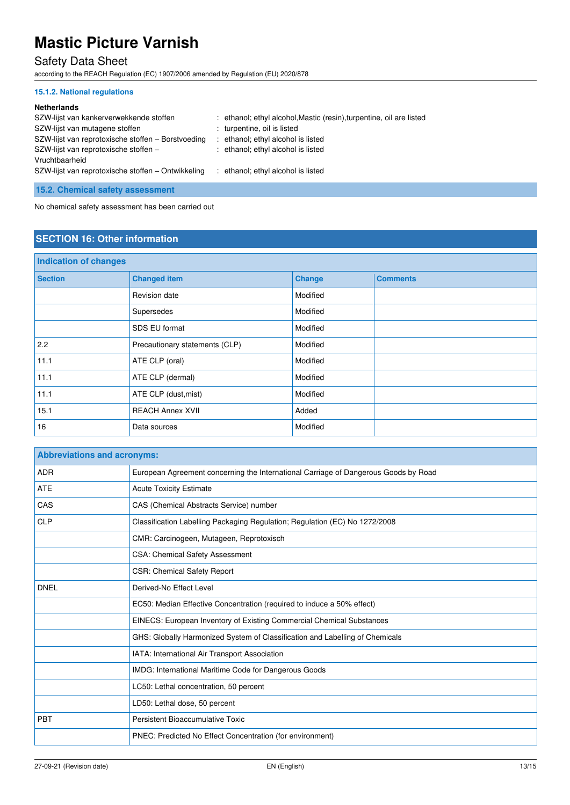# Safety Data Sheet

according to the REACH Regulation (EC) 1907/2006 amended by Regulation (EU) 2020/878

### **15.1.2. National regulations**

#### **Netherlands**

| SZW-lijst van kankerverwekkende stoffen<br>SZW-lijst van mutagene stoffen<br>SZW-lijst van reprotoxische stoffen – Borstvoeding<br>SZW-lijst van reprotoxische stoffen -<br>Vruchtbaarheid | : ethanol; ethyl alcohol, Mastic (resin), turpentine, oil are listed<br>: turpentine, oil is listed<br>: ethanol; ethyl alcohol is listed<br>: ethanol; ethyl alcohol is listed |
|--------------------------------------------------------------------------------------------------------------------------------------------------------------------------------------------|---------------------------------------------------------------------------------------------------------------------------------------------------------------------------------|
| SZW-lijst van reprotoxische stoffen – Ontwikkeling                                                                                                                                         | : ethanol; ethyl alcohol is listed                                                                                                                                              |

## **15.2. Chemical safety assessment**

No chemical safety assessment has been carried out

## **SECTION 16: Other information**

| <b>Indication of changes</b> |                                |               |                 |
|------------------------------|--------------------------------|---------------|-----------------|
| <b>Section</b>               | <b>Changed item</b>            | <b>Change</b> | <b>Comments</b> |
|                              | Revision date                  | Modified      |                 |
|                              | Supersedes                     | Modified      |                 |
|                              | SDS EU format                  | Modified      |                 |
| 2.2                          | Precautionary statements (CLP) | Modified      |                 |
| 11.1                         | ATE CLP (oral)                 | Modified      |                 |
| 11.1                         | ATE CLP (dermal)               | Modified      |                 |
| 11.1                         | ATE CLP (dust, mist)           | Modified      |                 |
| 15.1                         | <b>REACH Annex XVII</b>        | Added         |                 |
| 16                           | Data sources                   | Modified      |                 |

| <b>Abbreviations and acronyms:</b> |                                                                                     |  |
|------------------------------------|-------------------------------------------------------------------------------------|--|
| <b>ADR</b>                         | European Agreement concerning the International Carriage of Dangerous Goods by Road |  |
| <b>ATE</b>                         | <b>Acute Toxicity Estimate</b>                                                      |  |
| CAS                                | CAS (Chemical Abstracts Service) number                                             |  |
| <b>CLP</b>                         | Classification Labelling Packaging Regulation; Regulation (EC) No 1272/2008         |  |
|                                    | CMR: Carcinogeen, Mutageen, Reprotoxisch                                            |  |
|                                    | <b>CSA: Chemical Safety Assessment</b>                                              |  |
|                                    | <b>CSR: Chemical Safety Report</b>                                                  |  |
| <b>DNEL</b>                        | Derived-No Effect Level                                                             |  |
|                                    | EC50: Median Effective Concentration (required to induce a 50% effect)              |  |
|                                    | EINECS: European Inventory of Existing Commercial Chemical Substances               |  |
|                                    | GHS: Globally Harmonized System of Classification and Labelling of Chemicals        |  |
|                                    | IATA: International Air Transport Association                                       |  |
|                                    | IMDG: International Maritime Code for Dangerous Goods                               |  |
|                                    | LC50: Lethal concentration, 50 percent                                              |  |
|                                    | LD50: Lethal dose, 50 percent                                                       |  |
| <b>PBT</b>                         | Persistent Bioaccumulative Toxic                                                    |  |
|                                    | PNEC: Predicted No Effect Concentration (for environment)                           |  |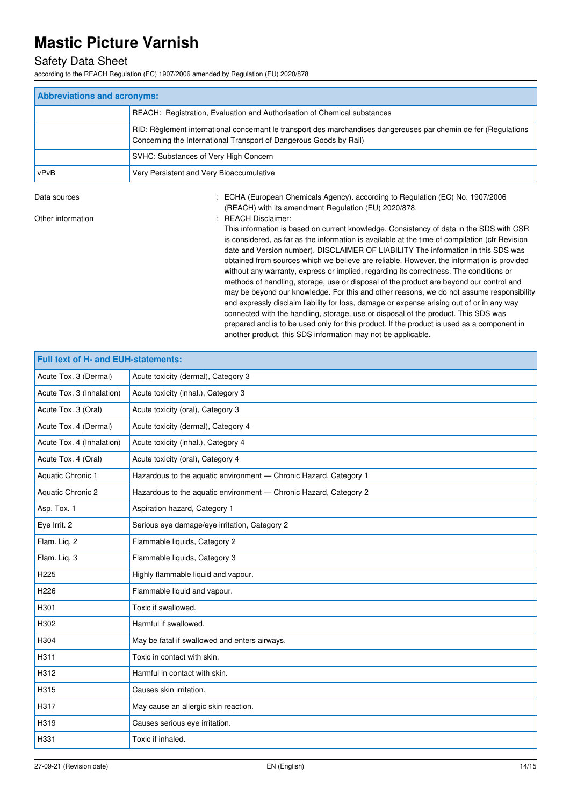## Safety Data Sheet

according to the REACH Regulation (EC) 1907/2006 amended by Regulation (EU) 2020/878

| <b>Abbreviations and acronyms:</b> |                                                                                                                                                                                        |  |
|------------------------------------|----------------------------------------------------------------------------------------------------------------------------------------------------------------------------------------|--|
|                                    | REACH: Registration, Evaluation and Authorisation of Chemical substances                                                                                                               |  |
|                                    | RID: Règlement international concernant le transport des marchandises dangereuses par chemin de fer (Regulations<br>Concerning the International Transport of Dangerous Goods by Rail) |  |
|                                    | SVHC: Substances of Very High Concern                                                                                                                                                  |  |
| vPvB                               | Very Persistent and Very Bioaccumulative                                                                                                                                               |  |

Data sources **1997/2006** : ECHA (European Chemicals Agency). according to Regulation (EC) No. 1907/2006

(REACH) with its amendment Regulation (EU) 2020/878. Other information **in the contract of the Contract Contract Contract Contract Contract Contract Contract Contract Contract Contract Contract Contract Contract Contract Contract Contract Contract Contract Contract Contract** 

This information is based on current knowledge. Consistency of data in the SDS with CSR is considered, as far as the information is available at the time of compilation (cfr Revision date and Version number). DISCLAIMER OF LIABILITY The information in this SDS was obtained from sources which we believe are reliable. However, the information is provided without any warranty, express or implied, regarding its correctness. The conditions or methods of handling, storage, use or disposal of the product are beyond our control and may be beyond our knowledge. For this and other reasons, we do not assume responsibility and expressly disclaim liability for loss, damage or expense arising out of or in any way connected with the handling, storage, use or disposal of the product. This SDS was prepared and is to be used only for this product. If the product is used as a component in another product, this SDS information may not be applicable.

| Full text of H- and EUH-statements: |                                                                   |  |  |
|-------------------------------------|-------------------------------------------------------------------|--|--|
| Acute Tox. 3 (Dermal)               | Acute toxicity (dermal), Category 3                               |  |  |
| Acute Tox. 3 (Inhalation)           | Acute toxicity (inhal.), Category 3                               |  |  |
| Acute Tox. 3 (Oral)                 | Acute toxicity (oral), Category 3                                 |  |  |
| Acute Tox. 4 (Dermal)               | Acute toxicity (dermal), Category 4                               |  |  |
| Acute Tox. 4 (Inhalation)           | Acute toxicity (inhal.), Category 4                               |  |  |
| Acute Tox. 4 (Oral)                 | Acute toxicity (oral), Category 4                                 |  |  |
| Aquatic Chronic 1                   | Hazardous to the aquatic environment - Chronic Hazard, Category 1 |  |  |
| Aquatic Chronic 2                   | Hazardous to the aquatic environment - Chronic Hazard, Category 2 |  |  |
| Asp. Tox. 1                         | Aspiration hazard, Category 1                                     |  |  |
| Eye Irrit. 2                        | Serious eye damage/eye irritation, Category 2                     |  |  |
| Flam. Liq. 2                        | Flammable liquids, Category 2                                     |  |  |
| Flam. Liq. 3                        | Flammable liquids, Category 3                                     |  |  |
| H225                                | Highly flammable liquid and vapour.                               |  |  |
| H <sub>226</sub>                    | Flammable liquid and vapour.                                      |  |  |
| H301                                | Toxic if swallowed.                                               |  |  |
| H302                                | Harmful if swallowed.                                             |  |  |
| H304                                | May be fatal if swallowed and enters airways.                     |  |  |
| H311                                | Toxic in contact with skin.                                       |  |  |
| H312                                | Harmful in contact with skin.                                     |  |  |
| H315                                | Causes skin irritation.                                           |  |  |
| H317                                | May cause an allergic skin reaction.                              |  |  |
| H319                                | Causes serious eye irritation.                                    |  |  |
| H331                                | Toxic if inhaled.                                                 |  |  |